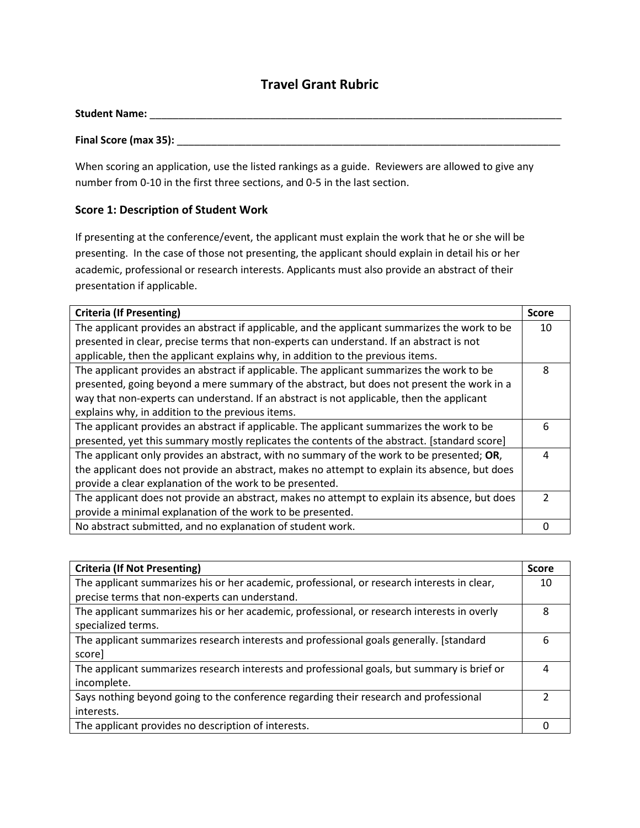## **Travel Grant Rubric**

| <b>Student Name:</b> |  |  |
|----------------------|--|--|
|                      |  |  |

#### **Final Score (max 35): Depited as a state of the state of the state of the state of the state of the state of the state of the state of the state of the state of the state of the state of the state of the state of the st**

When scoring an application, use the listed rankings as a guide. Reviewers are allowed to give any number from 0-10 in the first three sections, and 0-5 in the last section.

#### **Score 1: Description of Student Work**

If presenting at the conference/event, the applicant must explain the work that he or she will be presenting. In the case of those not presenting, the applicant should explain in detail his or her academic, professional or research interests. Applicants must also provide an abstract of their presentation if applicable.

| <b>Criteria (If Presenting)</b>                                                               |   |
|-----------------------------------------------------------------------------------------------|---|
| The applicant provides an abstract if applicable, and the applicant summarizes the work to be |   |
| presented in clear, precise terms that non-experts can understand. If an abstract is not      |   |
| applicable, then the applicant explains why, in addition to the previous items.               |   |
| The applicant provides an abstract if applicable. The applicant summarizes the work to be     |   |
| presented, going beyond a mere summary of the abstract, but does not present the work in a    |   |
| way that non-experts can understand. If an abstract is not applicable, then the applicant     |   |
| explains why, in addition to the previous items.                                              |   |
| The applicant provides an abstract if applicable. The applicant summarizes the work to be     | 6 |
| presented, yet this summary mostly replicates the contents of the abstract. [standard score]  |   |
| The applicant only provides an abstract, with no summary of the work to be presented; OR,     | 4 |
| the applicant does not provide an abstract, makes no attempt to explain its absence, but does |   |
| provide a clear explanation of the work to be presented.                                      |   |
| The applicant does not provide an abstract, makes no attempt to explain its absence, but does |   |
| provide a minimal explanation of the work to be presented.                                    |   |
| No abstract submitted, and no explanation of student work.                                    |   |

| <b>Criteria (If Not Presenting)</b>                                                         |  |
|---------------------------------------------------------------------------------------------|--|
| The applicant summarizes his or her academic, professional, or research interests in clear, |  |
| precise terms that non-experts can understand.                                              |  |
| The applicant summarizes his or her academic, professional, or research interests in overly |  |
| specialized terms.                                                                          |  |
| The applicant summarizes research interests and professional goals generally. [standard     |  |
| score]                                                                                      |  |
| The applicant summarizes research interests and professional goals, but summary is brief or |  |
| incomplete.                                                                                 |  |
| Says nothing beyond going to the conference regarding their research and professional       |  |
| interests.                                                                                  |  |
| The applicant provides no description of interests.                                         |  |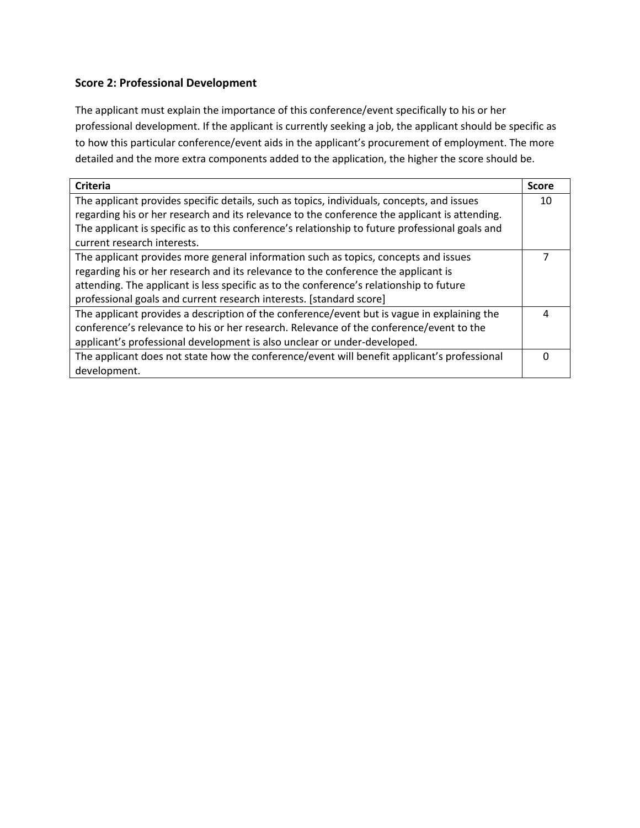### **Score 2: Professional Development**

The applicant must explain the importance of this conference/event specifically to his or her professional development. If the applicant is currently seeking a job, the applicant should be specific as to how this particular conference/event aids in the applicant's procurement of employment. The more detailed and the more extra components added to the application, the higher the score should be.

| <b>Criteria</b>                                                                                 | <b>Score</b> |
|-------------------------------------------------------------------------------------------------|--------------|
| The applicant provides specific details, such as topics, individuals, concepts, and issues      |              |
| regarding his or her research and its relevance to the conference the applicant is attending.   |              |
| The applicant is specific as to this conference's relationship to future professional goals and |              |
| current research interests.                                                                     |              |
| The applicant provides more general information such as topics, concepts and issues             |              |
| regarding his or her research and its relevance to the conference the applicant is              |              |
| attending. The applicant is less specific as to the conference's relationship to future         |              |
| professional goals and current research interests. [standard score]                             |              |
| The applicant provides a description of the conference/event but is vague in explaining the     | 4            |
| conference's relevance to his or her research. Relevance of the conference/event to the         |              |
| applicant's professional development is also unclear or under-developed.                        |              |
| The applicant does not state how the conference/event will benefit applicant's professional     |              |
| development.                                                                                    |              |